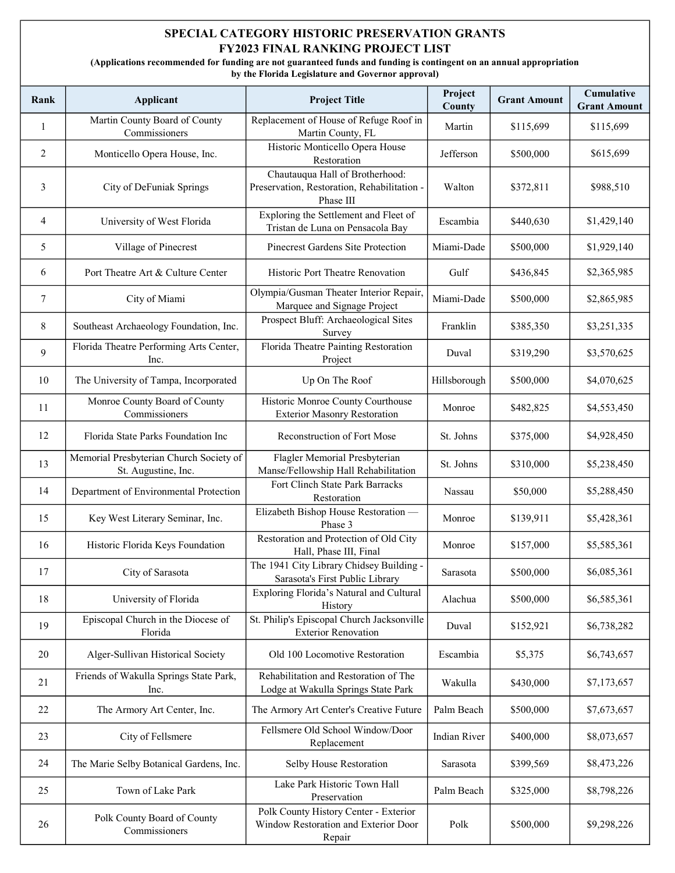## SPECIAL CATEGORY HISTORIC PRESERVATION GRANTS FY2023 FINAL RANKING PROJECT LIST

(Applications recommended for funding are not guaranteed funds and funding is contingent on an annual appropriation by the Florida Legislature and Governor approval)

| Rank | <b>Applicant</b>                                               | <b>Project Title</b>                                                                        | Project<br>County   | <b>Grant Amount</b> | Cumulative<br><b>Grant Amount</b> |
|------|----------------------------------------------------------------|---------------------------------------------------------------------------------------------|---------------------|---------------------|-----------------------------------|
| 1    | Martin County Board of County<br>Commissioners                 | Replacement of House of Refuge Roof in<br>Martin County, FL                                 | Martin              | \$115,699           | \$115,699                         |
| 2    | Monticello Opera House, Inc.                                   | Historic Monticello Opera House<br>Restoration                                              | Jefferson           | \$500,000           | \$615,699                         |
| 3    | City of DeFuniak Springs                                       | Chautauqua Hall of Brotherhood:<br>Preservation, Restoration, Rehabilitation -<br>Phase III | Walton              | \$372,811           | \$988,510                         |
| 4    | University of West Florida                                     | Exploring the Settlement and Fleet of<br>Tristan de Luna on Pensacola Bay                   | Escambia            | \$440,630           | \$1,429,140                       |
| 5    | Village of Pinecrest                                           | Pinecrest Gardens Site Protection                                                           | Miami-Dade          | \$500,000           | \$1,929,140                       |
| 6    | Port Theatre Art & Culture Center                              | Historic Port Theatre Renovation                                                            | Gulf                | \$436,845           | \$2,365,985                       |
| 7    | City of Miami                                                  | Olympia/Gusman Theater Interior Repair,<br>Marquee and Signage Project                      | Miami-Dade          | \$500,000           | \$2,865,985                       |
| 8    | Southeast Archaeology Foundation, Inc.                         | Prospect Bluff: Archaeological Sites<br>Survey                                              | Franklin            | \$385,350           | \$3,251,335                       |
| 9    | Florida Theatre Performing Arts Center,<br>Inc.                | Florida Theatre Painting Restoration<br>Project                                             | Duval               | \$319,290           | \$3,570,625                       |
| 10   | The University of Tampa, Incorporated                          | Up On The Roof                                                                              | Hillsborough        | \$500,000           | \$4,070,625                       |
| 11   | Monroe County Board of County<br>Commissioners                 | Historic Monroe County Courthouse<br><b>Exterior Masonry Restoration</b>                    | Monroe              | \$482,825           | \$4,553,450                       |
| 12   | Florida State Parks Foundation Inc                             | Reconstruction of Fort Mose                                                                 | St. Johns           | \$375,000           | \$4,928,450                       |
| 13   | Memorial Presbyterian Church Society of<br>St. Augustine, Inc. | Flagler Memorial Presbyterian<br>Manse/Fellowship Hall Rehabilitation                       | St. Johns           | \$310,000           | \$5,238,450                       |
| 14   | Department of Environmental Protection                         | Fort Clinch State Park Barracks<br>Restoration                                              | Nassau              | \$50,000            | \$5,288,450                       |
| 15   | Key West Literary Seminar, Inc.                                | Elizabeth Bishop House Restoration -<br>Phase 3                                             | Monroe              | \$139,911           | \$5,428,361                       |
| 16   | Historic Florida Keys Foundation                               | Restoration and Protection of Old City<br>Hall, Phase III, Final                            | Monroe              | \$157,000           | \$5,585,361                       |
| 17   | City of Sarasota                                               | The 1941 City Library Chidsey Building -<br>Sarasota's First Public Library                 | Sarasota            | \$500,000           | \$6,085,361                       |
| 18   | University of Florida                                          | Exploring Florida's Natural and Cultural<br>History                                         | Alachua             | \$500,000           | \$6,585,361                       |
| 19   | Episcopal Church in the Diocese of<br>Florida                  | St. Philip's Episcopal Church Jacksonville<br><b>Exterior Renovation</b>                    | Duval               | \$152,921           | \$6,738,282                       |
| 20   | Alger-Sullivan Historical Society                              | Old 100 Locomotive Restoration                                                              | Escambia            | \$5,375             | \$6,743,657                       |
| 21   | Friends of Wakulla Springs State Park,<br>Inc.                 | Rehabilitation and Restoration of The<br>Lodge at Wakulla Springs State Park                | Wakulla             | \$430,000           | \$7,173,657                       |
| 22   | The Armory Art Center, Inc.                                    | The Armory Art Center's Creative Future                                                     | Palm Beach          | \$500,000           | \$7,673,657                       |
| 23   | City of Fellsmere                                              | Fellsmere Old School Window/Door<br>Replacement                                             | <b>Indian River</b> | \$400,000           | \$8,073,657                       |
| 24   | The Marie Selby Botanical Gardens, Inc.                        | Selby House Restoration                                                                     | Sarasota            | \$399,569           | \$8,473,226                       |
| 25   | Town of Lake Park                                              | Lake Park Historic Town Hall<br>Preservation                                                | Palm Beach          | \$325,000           | \$8,798,226                       |
| 26   | Polk County Board of County<br>Commissioners                   | Polk County History Center - Exterior<br>Window Restoration and Exterior Door<br>Repair     | Polk                | \$500,000           | \$9,298,226                       |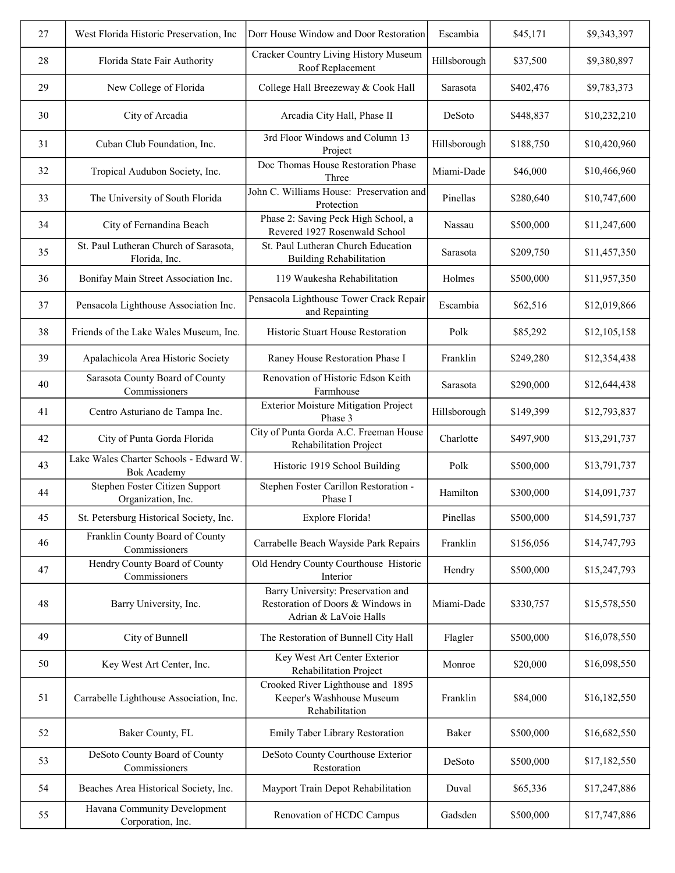| 27 | West Florida Historic Preservation, Inc                      | Dorr House Window and Door Restoration                                                           | Escambia     | \$45,171  | \$9,343,397  |
|----|--------------------------------------------------------------|--------------------------------------------------------------------------------------------------|--------------|-----------|--------------|
| 28 | Florida State Fair Authority                                 | Cracker Country Living History Museum<br>Roof Replacement                                        | Hillsborough | \$37,500  | \$9,380,897  |
| 29 | New College of Florida                                       | College Hall Breezeway & Cook Hall                                                               | Sarasota     | \$402,476 | \$9,783,373  |
| 30 | City of Arcadia                                              | Arcadia City Hall, Phase II                                                                      | DeSoto       | \$448,837 | \$10,232,210 |
| 31 | Cuban Club Foundation, Inc.                                  | 3rd Floor Windows and Column 13<br>Project                                                       | Hillsborough | \$188,750 | \$10,420,960 |
| 32 | Tropical Audubon Society, Inc.                               | Doc Thomas House Restoration Phase<br>Three                                                      | Miami-Dade   | \$46,000  | \$10,466,960 |
| 33 | The University of South Florida                              | John C. Williams House: Preservation and<br>Protection                                           | Pinellas     | \$280,640 | \$10,747,600 |
| 34 | City of Fernandina Beach                                     | Phase 2: Saving Peck High School, a<br>Revered 1927 Rosenwald School                             | Nassau       | \$500,000 | \$11,247,600 |
| 35 | St. Paul Lutheran Church of Sarasota,<br>Florida, Inc.       | St. Paul Lutheran Church Education<br><b>Building Rehabilitation</b>                             | Sarasota     | \$209,750 | \$11,457,350 |
| 36 | Bonifay Main Street Association Inc.                         | 119 Waukesha Rehabilitation                                                                      | Holmes       | \$500,000 | \$11,957,350 |
| 37 | Pensacola Lighthouse Association Inc.                        | Pensacola Lighthouse Tower Crack Repair<br>and Repainting                                        | Escambia     | \$62,516  | \$12,019,866 |
| 38 | Friends of the Lake Wales Museum, Inc.                       | Historic Stuart House Restoration                                                                | Polk         | \$85,292  | \$12,105,158 |
| 39 | Apalachicola Area Historic Society                           | Raney House Restoration Phase I                                                                  | Franklin     | \$249,280 | \$12,354,438 |
| 40 | Sarasota County Board of County<br>Commissioners             | Renovation of Historic Edson Keith<br>Farmhouse                                                  | Sarasota     | \$290,000 | \$12,644,438 |
| 41 | Centro Asturiano de Tampa Inc.                               | <b>Exterior Moisture Mitigation Project</b><br>Phase 3                                           | Hillsborough | \$149,399 | \$12,793,837 |
| 42 | City of Punta Gorda Florida                                  | City of Punta Gorda A.C. Freeman House<br>Rehabilitation Project                                 | Charlotte    | \$497,900 | \$13,291,737 |
| 43 | Lake Wales Charter Schools - Edward W.<br><b>Bok Academy</b> | Historic 1919 School Building                                                                    | Polk         | \$500,000 | \$13,791,737 |
| 44 | Stephen Foster Citizen Support<br>Organization, Inc.         | Stephen Foster Carillon Restoration -<br>Phase I                                                 | Hamilton     | \$300,000 | \$14,091,737 |
| 45 | St. Petersburg Historical Society, Inc.                      | Explore Florida!                                                                                 | Pinellas     | \$500,000 | \$14,591,737 |
| 46 | Franklin County Board of County<br>Commissioners             | Carrabelle Beach Wayside Park Repairs                                                            | Franklin     | \$156,056 | \$14,747,793 |
| 47 | Hendry County Board of County<br>Commissioners               | Old Hendry County Courthouse Historic<br>Interior                                                | Hendry       | \$500,000 | \$15,247,793 |
| 48 | Barry University, Inc.                                       | Barry University: Preservation and<br>Restoration of Doors & Windows in<br>Adrian & LaVoie Halls | Miami-Dade   | \$330,757 | \$15,578,550 |
| 49 | City of Bunnell                                              | The Restoration of Bunnell City Hall                                                             | Flagler      | \$500,000 | \$16,078,550 |
| 50 | Key West Art Center, Inc.                                    | Key West Art Center Exterior<br>Rehabilitation Project                                           | Monroe       | \$20,000  | \$16,098,550 |
| 51 | Carrabelle Lighthouse Association, Inc.                      | Crooked River Lighthouse and 1895<br>Keeper's Washhouse Museum<br>Rehabilitation                 | Franklin     | \$84,000  | \$16,182,550 |
| 52 | Baker County, FL                                             | Emily Taber Library Restoration                                                                  | Baker        | \$500,000 | \$16,682,550 |
| 53 | DeSoto County Board of County<br>Commissioners               | DeSoto County Courthouse Exterior<br>Restoration                                                 | DeSoto       | \$500,000 | \$17,182,550 |
| 54 | Beaches Area Historical Society, Inc.                        | Mayport Train Depot Rehabilitation                                                               | Duval        | \$65,336  | \$17,247,886 |
| 55 | Havana Community Development<br>Corporation, Inc.            | Renovation of HCDC Campus                                                                        | Gadsden      | \$500,000 | \$17,747,886 |